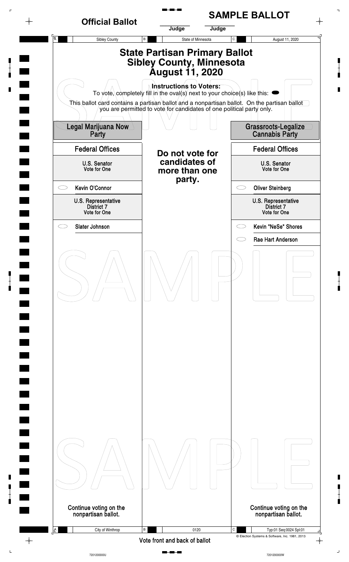

 $\overline{L}$ 

7201200000U

7201200000W